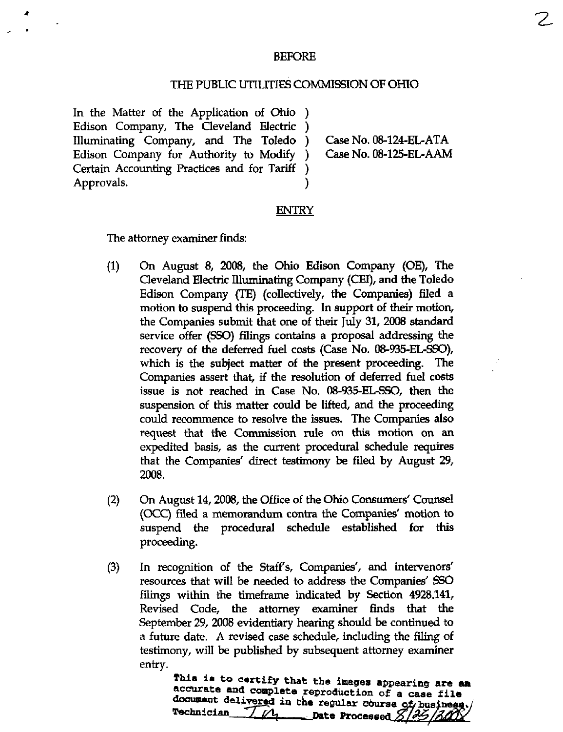## BEFORE

## THE PUBLIC UTILITIES COMMISSION OF OHIO

In the Matter of the Application of Ohio ) Edison Company, The Cleveland Electric ) Illuminating Company, and The Toledo Edison Company for Authority to Modify Certain Accounting Practices and for Tariff Approvals.

Case No. 08-124-EL-ATA Case No. 08-125-EL-AAM 2.

## **ENTRY**

The attorney examiner finds:

- (1) On August 8, 2008, the Ohio Edison Company (OE), The Cleveland Electric lUimiinating Company (CEI), and the Toledo Edison Company (TE) (collectively, the Companies) filed a motion to suspend this proceeding. In support of their motion, the Companies submit that one of their July 31, 2008 standard service offer (SSO) filings contains a proposal addressing the recovery of the deferred fuel costs (Case No. 08-935-EL-SSO), which is the subject matter of the present proceeding. The Companies assert that, if the resolution of deferred fuel costs issue is not reached in Case No. 08-935-EL-SSO, then the suspension of this matter could be lifted, and the proceeding could recommence to resolve the issues. The Companies also request that the Commission rule on this motion on an expedited basis, as the current procedural schedule requires that the Companies' direct testimony be filed by August 29, 2008.
- (2) On August 14,2008, the Office of the Ohio Consumers' Counsel (OCC) filed a memorandum contra the Companies' motion to suspend the procedural schedule established for this proceeding.
- (3) In recognition of the Staff's, Companies', and interveners' resources that will be needed to address the Companies' SSO filings within the timeframe indicated by Section 4928.141, Revised Code, the attorney examiner finds that the September 29, 2008 evidentiary hearing should be continued to a future date. A revised case schedule, including the filing of testimony, will be published by subsequent attorney examiner entry.

This is to certify that the images appearing are aa accurate and complete reproduction of a case file document delivered in the regular course of business.<br>Technician  $7/4$  Date Processed  $8/35/300$  $\Box$ Date Processed.  $S / 25 / 300$